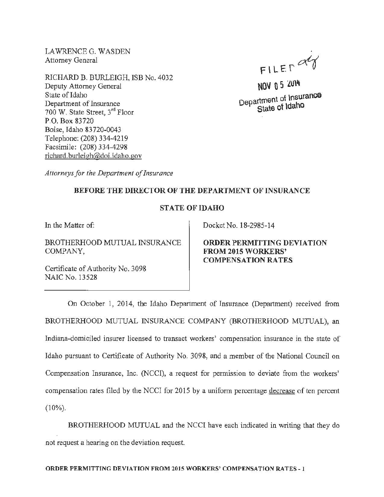LAWRENCEG. WASDEN Attorney General

RICHARD B. BURLEIGH, ISB No. 4032 Deputy Attorney General State of Idaho Department of Insurance 700 W. State Street, 3rd Floor P.O. Box 83720 Boise, Idaho 83720-0043 Telephone: (208) 334-4219 Facsimile: (208) 334-4298 richard.burleigh@doi.idaho.gov

FILER  $\alpha$ 

 $NOV$   $0.5$   $2014$ Department of Insurance State of Idaho

*Attorneys for the Department of Insurance* 

## BEFORE THE DIRECTOR OF THE DEPARTMENT OF INSURANCE

## STATE OF IDAHO

In the Matter of:

BROTHERHOOD MUTUAL INSURANCE COMPANY,

Certificate of Authority No. 3098 NAIC No. 13528

Docket No. 18-2985-14

ORDER PERMITTING DEVIATION FROM 2015 WORKERS' COMPENSATION RATES

On October 1, 2014, the Idaho Department of Insurance (Department) received from BROTHERHOOD MUTUAL INSURANCE COMPANY (BROTHERHOOD MUTUAL), an Indiana-domiciled insurer licensed to transact workers' compensation insurance in the state of Idaho pursuant to Certificate of Authority No. 3098, and a member of the National Council on Compensation Insurance, Inc. (NCCI), a request for permission to deviate from the workers' compensation rates filed by the NCCI for 2015 by a uniform percentage decrease of ten percent (10%).

BROTHERHOOD MUTUAL and the NCCI have each indicated in writing that they do not request a hearing on the deviation request.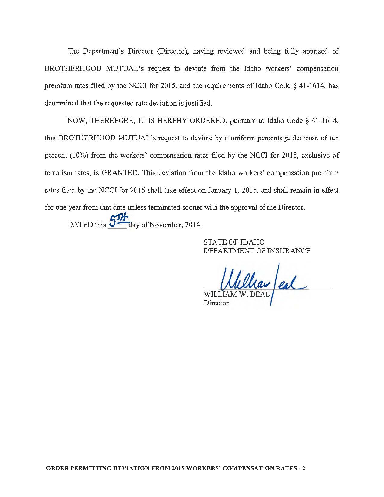The Department's Director (Director), having reviewed and being fully apprised of BROTHERHOOD MUTUAL's request to deviate from the Idaho workers' compensation premium rates filed by the NCCI for 2015, and the requirements of Idaho Code § 41-1614, has determined that the requested rate deviation is justified.

NOW, THEREFORE, IT IS HEREBY ORDERED, pursuant to Idaho Code§ 41-1614, that BROTHERHOOD MUTUAL's request to deviate by a uniform percentage decrease of ten percent (10%) from the workers' compensation rates filed by the NCCI for 2015, exclusive of terrorism rates, is GRANTED. This deviation from the Idaho workers' compensation premium rates filed by the NCCI for 2015 shall take effect on January 1, 2015, and shall remain in effect for one year from that date unless terminated sooner with the approval of the Director.

DATED this  $5\frac{1}{4}$  day of November, 2014.

STATE OF IDAHO DEPARTMENT OF INSURANCE

William en **Director**